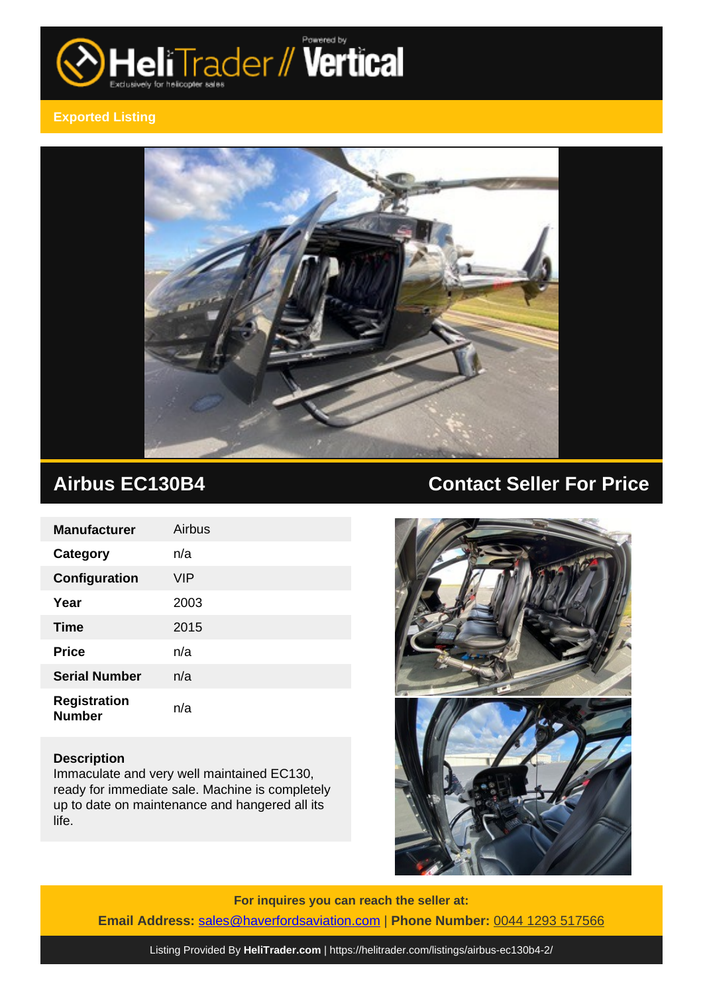

# **Exported Listing**



| Airbus     |
|------------|
| n/a        |
| <b>VIP</b> |
| 2003       |
| 2015       |
| n/a        |
| n/a        |
| n/a        |
|            |

# **Description**

Immaculate and very well maintained EC130, ready for immediate sale. Machine is completely up to date on maintenance and hangered all its life.

# **Airbus EC130B4 Contact Seller For Price**



**For inquires you can reach the seller at: Email Address:** [sales@haverfordsaviation.com](mailto:sales@haverfordsaviation.com,) | **Phone Number:** 0044 1293 517566

Listing Provided By **[HeliTrader.com](https://helitrader.com)** |<https://helitrader.com/listings/airbus-ec130b4-2/>